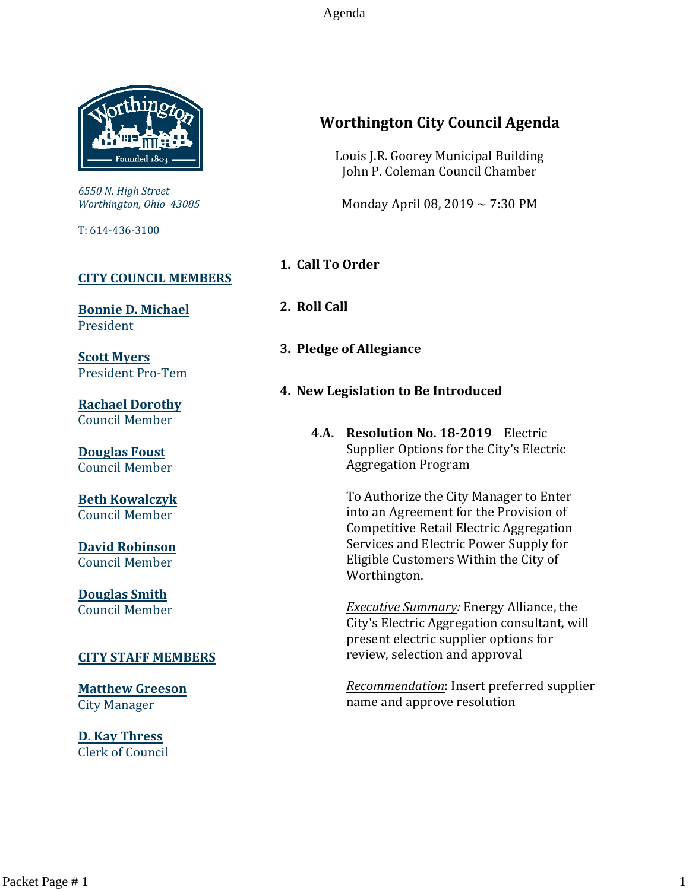

*6550 N. High Street Worthington, Ohio 43085*

T: 614-436-3100

# **[CITY COUNCIL MEMBERS](mailto:CityCouncil@ci.worthington.oh.us?subject=Email%20from%20City%20Council%20Meeting%20Agenda%20Link)**

**[Bonnie D. Michael](mailto:bmichael@ci.worthington.oh.us?subject=Email%20from%20City%20Council%20Meeting%20Agenda%20Link)** President

**[Scott Myers](mailto:smyers@ci.worthington.oh.us?subject=Email%20from%20City%20Council%20Meeting%20Agenda%20Link)** President Pro-Tem

**[Rachael Dorothy](mailto:rdorothy@ci.worthington.oh.us?subject=Email%20from%20City%20Council%20Meeting%20Agenda%20Link)** Council Member

**[Douglas Foust](mailto:Doug.Foust@ci.worthington.oh.us?subject=Email%20from%20City%20Council%20Meeting%20Agenda%20Link)** Council Member

**[Beth Kowalczyk](mailto:BKowalczyk@ci.worthington.oh.us)** Council Member

**[David Robinson](mailto:DRobinson@ci.worthington.oh.us)** Council Member

**[Douglas Smith](mailto:DSmith@ci.worthington.oh.us?subject=Email%20from%20City%20Council%20Meeting%20Agenda%20Link)** Council Member

#### **[CITY STAFF MEMBERS](mailto:Council@ci.worthington.oh.us?subject=Email%20from%20City%20Council%20Meeting%20Agenda%20Link)**

**[Matthew Greeson](mailto:MGreeson@ci.worthington.oh.us?subject=Email%20from%20City%20Council%20Meeting%20Agenda%20Link)** City Manager

**[D. Kay Thress](mailto:DThress@ci.worthington.oh.us?subject=Email%20from%20City%20Council%20Meeting%20Agenda%20Link)** Clerk of Council

# **Worthington City Council Agenda**

Louis J.R. Goorey Municipal Building John P. Coleman Council Chamber

Monday April 08, 2019 ~ 7:30 PM

- **1. Call To Order**
- **2. Roll Call**
- **3. Pledge of Allegiance**
- **4. New Legislation to Be Introduced**
	- **4.A. Resolution No. 18-2019** Electric Supplier Options for the City's Electric Aggregation Program

To Authorize the City Manager to Enter into an Agreement for the Provision of Competitive Retail Electric Aggregation Services and Electric Power Supply for Eligible Customers Within the City of Worthington.

*Executive Summary:* Energy Alliance, the City's Electric Aggregation consultant, will present electric supplier options for review, selection and approval

*Recommendation*: Insert preferred supplier name and approve resolution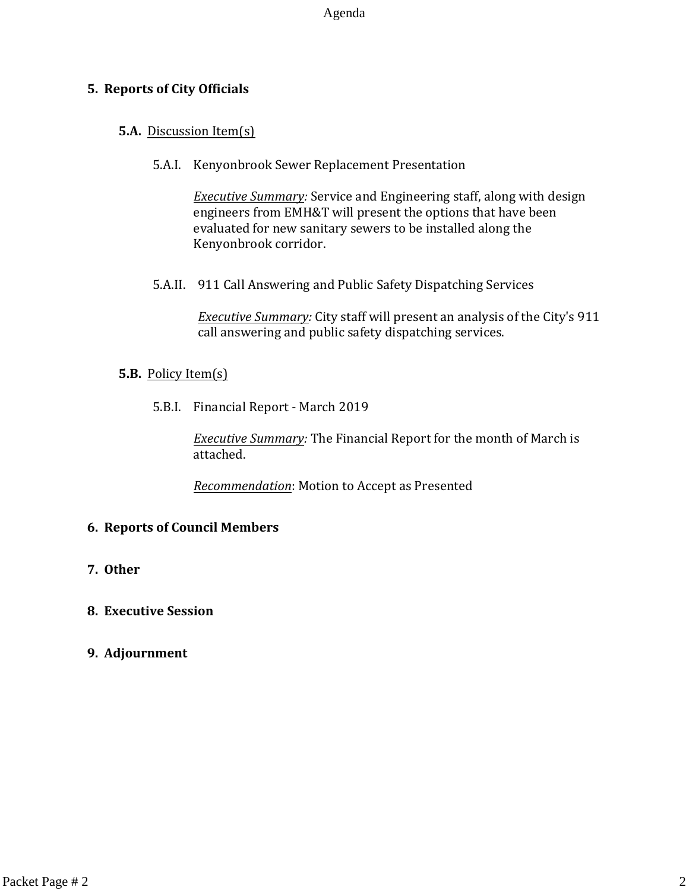# **5. Reports of City Officials**

# **5.A.** Discussion Item(s)

5.A.I. Kenyonbrook Sewer Replacement Presentation

*Executive Summary:* Service and Engineering staff, along with design engineers from EMH&T will present the options that have been evaluated for new sanitary sewers to be installed along the Kenyonbrook corridor.

5.A.II. 911 Call Answering and Public Safety Dispatching Services

*Executive Summary:* City staff will present an analysis of the City's 911 call answering and public safety dispatching services.

# **5.B.** Policy Item(s)

5.B.I. Financial Report - March 2019

*Executive Summary:* The Financial Report for the month of March is attached.

*Recommendation*: Motion to Accept as Presented

# **6. Reports of Council Members**

**7. Other**

# **8. Executive Session**

# **9. Adjournment**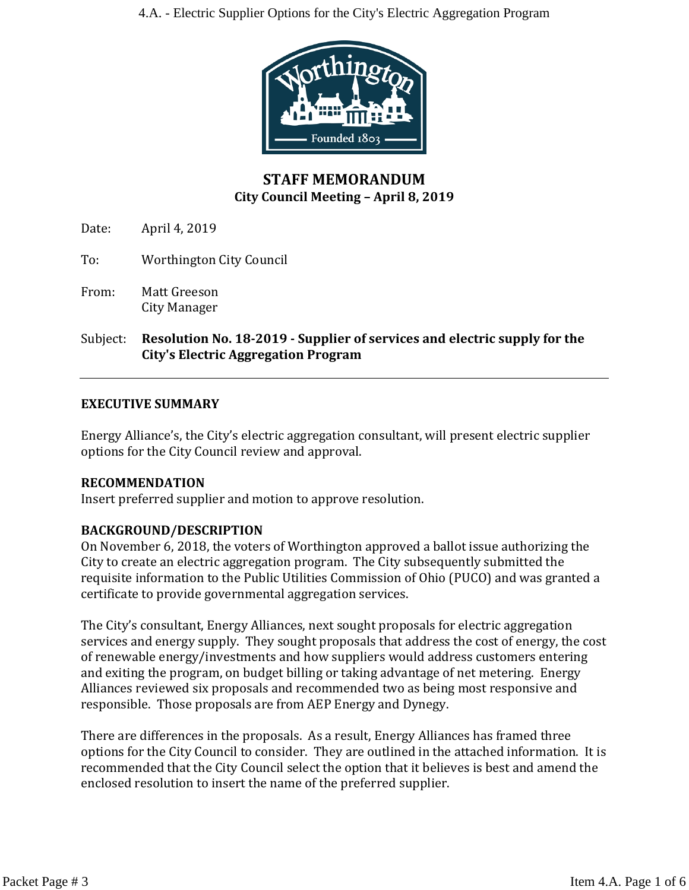

# **STAFF MEMORANDUM City Council Meeting – April 8, 2019**

Date: April 4, 2019

- To: Worthington City Council
- From: Matt Greeson City Manager
- Subject: **Resolution No. 18-2019 - Supplier of services and electric supply for the City's Electric Aggregation Program**

# **EXECUTIVE SUMMARY**

Energy Alliance's, the City's electric aggregation consultant, will present electric supplier options for the City Council review and approval.

# **RECOMMENDATION**

Insert preferred supplier and motion to approve resolution.

# **BACKGROUND/DESCRIPTION**

On November 6, 2018, the voters of Worthington approved a ballot issue authorizing the City to create an electric aggregation program. The City subsequently submitted the requisite information to the Public Utilities Commission of Ohio (PUCO) and was granted a certificate to provide governmental aggregation services.

The City's consultant, Energy Alliances, next sought proposals for electric aggregation services and energy supply. They sought proposals that address the cost of energy, the cost of renewable energy/investments and how suppliers would address customers entering and exiting the program, on budget billing or taking advantage of net metering. Energy Alliances reviewed six proposals and recommended two as being most responsive and responsible. Those proposals are from AEP Energy and Dynegy.

There are differences in the proposals. As a result, Energy Alliances has framed three options for the City Council to consider. They are outlined in the attached information. It is recommended that the City Council select the option that it believes is best and amend the enclosed resolution to insert the name of the preferred supplier.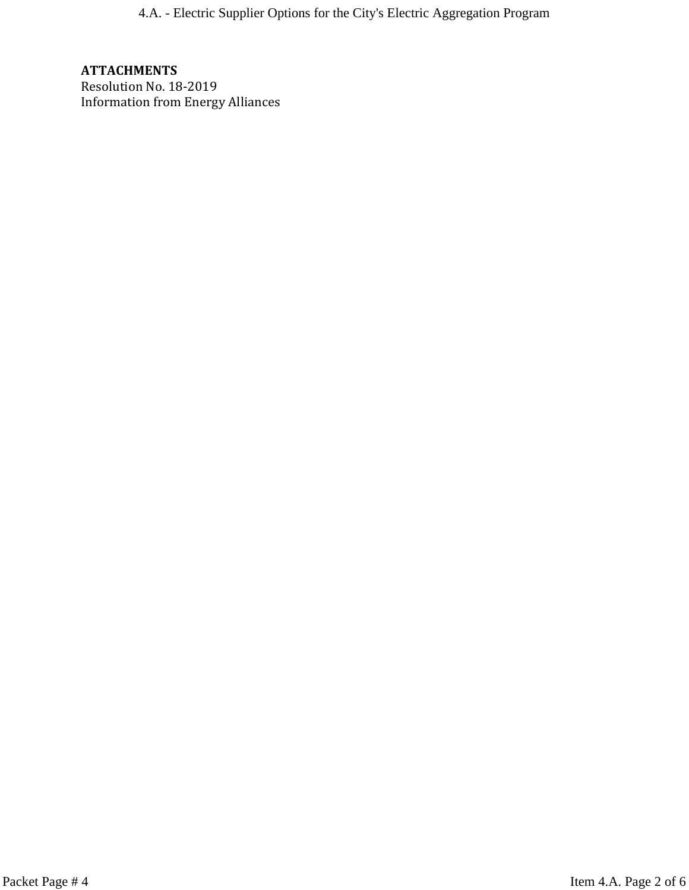4.A. - Electric Supplier Options for the City's Electric Aggregation Program

# **ATTACHMENTS**

Resolution No. 18-2019 Information from Energy Alliances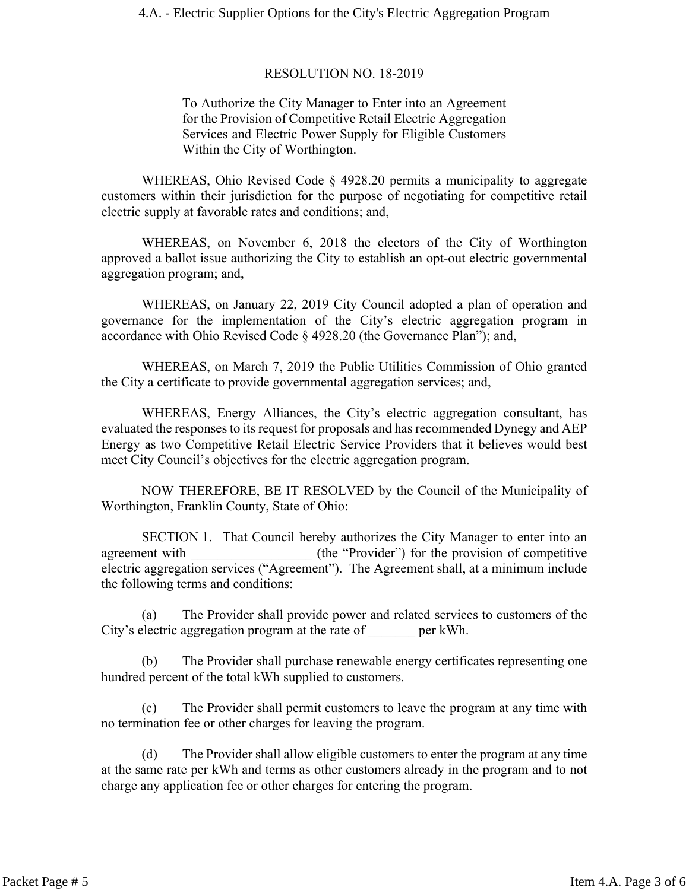#### RESOLUTION NO. 18-2019

To Authorize the City Manager to Enter into an Agreement for the Provision of Competitive Retail Electric Aggregation Services and Electric Power Supply for Eligible Customers Within the City of Worthington.

WHEREAS, Ohio Revised Code § 4928.20 permits a municipality to aggregate customers within their jurisdiction for the purpose of negotiating for competitive retail electric supply at favorable rates and conditions; and,

WHEREAS, on November 6, 2018 the electors of the City of Worthington approved a ballot issue authorizing the City to establish an opt-out electric governmental aggregation program; and,

WHEREAS, on January 22, 2019 City Council adopted a plan of operation and governance for the implementation of the City's electric aggregation program in accordance with Ohio Revised Code § 4928.20 (the Governance Plan"); and,

WHEREAS, on March 7, 2019 the Public Utilities Commission of Ohio granted the City a certificate to provide governmental aggregation services; and,

WHEREAS, Energy Alliances, the City's electric aggregation consultant, has evaluated the responses to its request for proposals and has recommended Dynegy and AEP Energy as two Competitive Retail Electric Service Providers that it believes would best meet City Council's objectives for the electric aggregation program.

NOW THEREFORE, BE IT RESOLVED by the Council of the Municipality of Worthington, Franklin County, State of Ohio:

SECTION 1. That Council hereby authorizes the City Manager to enter into an agreement with  $(the "Provider")$  for the provision of competitive electric aggregation services ("Agreement"). The Agreement shall, at a minimum include the following terms and conditions:

(a) The Provider shall provide power and related services to customers of the City's electric aggregation program at the rate of per kWh.

(b) The Provider shall purchase renewable energy certificates representing one hundred percent of the total kWh supplied to customers.

(c) The Provider shall permit customers to leave the program at any time with no termination fee or other charges for leaving the program.

(d) The Provider shall allow eligible customers to enter the program at any time at the same rate per kWh and terms as other customers already in the program and to not charge any application fee or other charges for entering the program.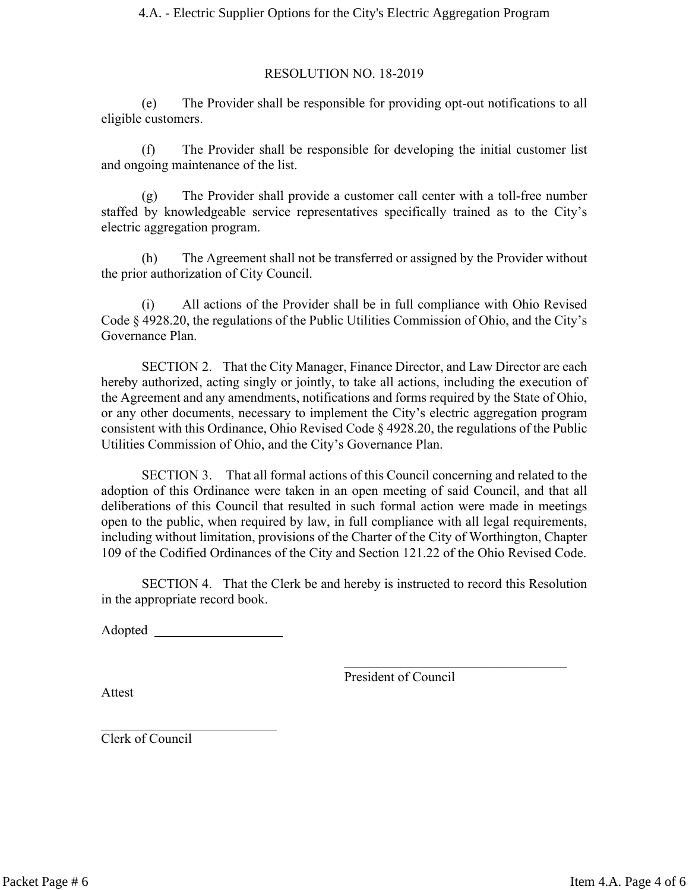#### RESOLUTION NO. 18-2019

(e) The Provider shall be responsible for providing opt-out notifications to all eligible customers.

(f) The Provider shall be responsible for developing the initial customer list and ongoing maintenance of the list.

(g) The Provider shall provide a customer call center with a toll-free number staffed by knowledgeable service representatives specifically trained as to the City's electric aggregation program.

(h) The Agreement shall not be transferred or assigned by the Provider without the prior authorization of City Council.

All actions of the Provider shall be in full compliance with Ohio Revised Code § 4928.20, the regulations of the Public Utilities Commission of Ohio, and the City's Governance Plan.

SECTION 2. That the City Manager, Finance Director, and Law Director are each hereby authorized, acting singly or jointly, to take all actions, including the execution of the Agreement and any amendments, notifications and forms required by the State of Ohio, or any other documents, necessary to implement the City's electric aggregation program consistent with this Ordinance, Ohio Revised Code § 4928.20, the regulations of the Public Utilities Commission of Ohio, and the City's Governance Plan.

SECTION 3. That all formal actions of this Council concerning and related to the adoption of this Ordinance were taken in an open meeting of said Council, and that all deliberations of this Council that resulted in such formal action were made in meetings open to the public, when required by law, in full compliance with all legal requirements, including without limitation, provisions of the Charter of the City of Worthington, Chapter 109 of the Codified Ordinances of the City and Section 121.22 of the Ohio Revised Code.

SECTION 4. That the Clerk be and hereby is instructed to record this Resolution in the appropriate record book.

Adopted \_\_\_\_\_\_\_\_\_\_\_\_\_\_\_\_\_\_\_

 $\mathcal{L}_\text{max}$  , where  $\mathcal{L}_\text{max}$  and  $\mathcal{L}_\text{max}$ 

President of Council

 $\mathcal{L}_\text{max}$  , where  $\mathcal{L}_\text{max}$  is the set of the set of the set of the set of the set of the set of the set of the set of the set of the set of the set of the set of the set of the set of the set of the set of the se

Attest

Clerk of Council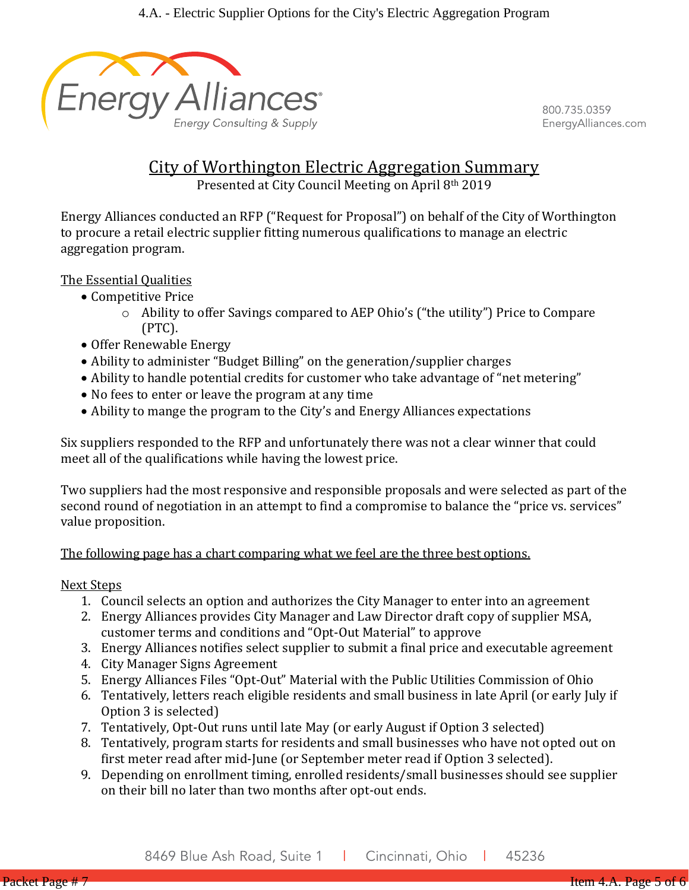

800.735.0359 EnergyAlliances.com

# City of Worthington Electric Aggregation Summary

Presented at City Council Meeting on April 8th 2019

Energy Alliances conducted an RFP ("Request for Proposal") on behalf of the City of Worthington to procure a retail electric supplier fitting numerous qualifications to manage an electric aggregation program.

The Essential Qualities

- Competitive Price
	- o Ability to offer Savings compared to AEP Ohio's ("the utility") Price to Compare (PTC).
- Offer Renewable Energy
- Ability to administer "Budget Billing" on the generation/supplier charges
- Ability to handle potential credits for customer who take advantage of "net metering"
- No fees to enter or leave the program at any time
- Ability to mange the program to the City's and Energy Alliances expectations

Six suppliers responded to the RFP and unfortunately there was not a clear winner that could meet all of the qualifications while having the lowest price.

Two suppliers had the most responsive and responsible proposals and were selected as part of the second round of negotiation in an attempt to find a compromise to balance the "price vs. services" value proposition.

# The following page has a chart comparing what we feel are the three best options.

# Next Steps

- 1. Council selects an option and authorizes the City Manager to enter into an agreement
- 2. Energy Alliances provides City Manager and Law Director draft copy of supplier MSA, customer terms and conditions and "Opt-Out Material" to approve
- 3. Energy Alliances notifies select supplier to submit a final price and executable agreement
- 4. City Manager Signs Agreement
- 5. Energy Alliances Files "Opt-Out" Material with the Public Utilities Commission of Ohio
- 6. Tentatively, letters reach eligible residents and small business in late April (or early July if Option 3 is selected)
- 7. Tentatively, Opt-Out runs until late May (or early August if Option 3 selected)
- 8. Tentatively, program starts for residents and small businesses who have not opted out on first meter read after mid-June (or September meter read if Option 3 selected).
- 9. Depending on enrollment timing, enrolled residents/small businesses should see supplier on their bill no later than two months after opt-out ends.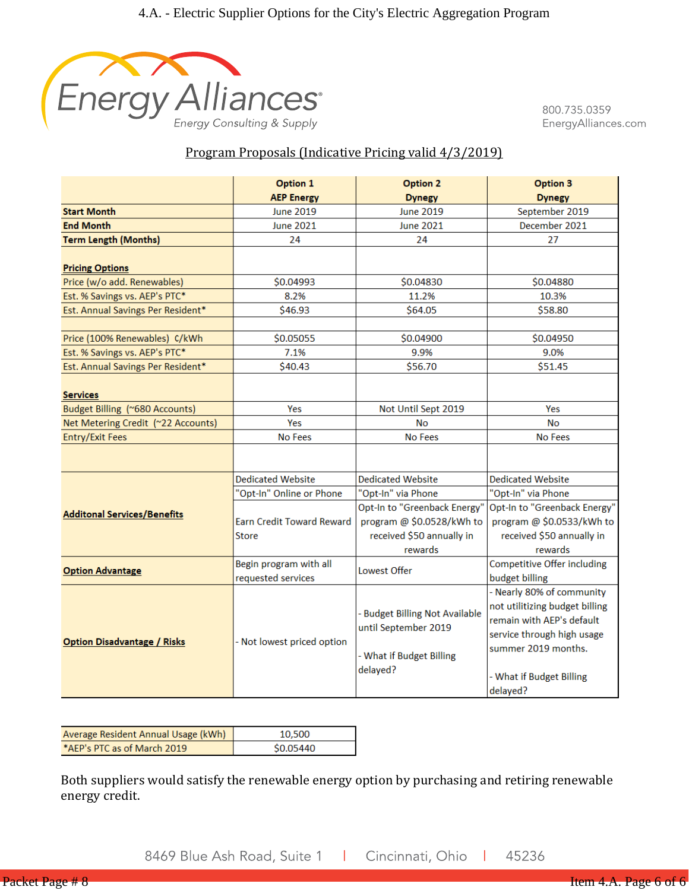

800.735.0359 EnergyAlliances.com

# Program Proposals (Indicative Pricing valid 4/3/2019)

|                                                   | Option 1                         | <b>Option 2</b>                     | Option 3                           |  |  |  |  |
|---------------------------------------------------|----------------------------------|-------------------------------------|------------------------------------|--|--|--|--|
|                                                   | <b>AEP Energy</b>                | <b>Dynegy</b>                       | <b>Dynegy</b>                      |  |  |  |  |
| <b>Start Month</b>                                | June 2019                        | June 2019                           | September 2019                     |  |  |  |  |
| <b>End Month</b>                                  | <b>June 2021</b>                 | June 2021                           | December 2021                      |  |  |  |  |
| <b>Term Length (Months)</b>                       | 24                               | 24                                  | 27                                 |  |  |  |  |
|                                                   |                                  |                                     |                                    |  |  |  |  |
| <b>Pricing Options</b>                            |                                  |                                     |                                    |  |  |  |  |
| Price (w/o add. Renewables)                       | \$0.04993                        | \$0.04830                           | \$0.04880                          |  |  |  |  |
| Est. % Savings vs. AEP's PTC*                     | 8.2%                             | 11.2%                               | 10.3%                              |  |  |  |  |
| Est. Annual Savings Per Resident*                 | \$46.93                          | \$64.05                             | \$58.80                            |  |  |  |  |
|                                                   |                                  |                                     |                                    |  |  |  |  |
| Price (100% Renewables) C/kWh                     | \$0.05055                        | \$0.04900                           | \$0.04950                          |  |  |  |  |
| Est. % Savings vs. AEP's PTC*                     | 7.1%                             | 9.9%                                | 9.0%                               |  |  |  |  |
| Est. Annual Savings Per Resident*                 | \$40.43                          | \$56.70                             | \$51.45                            |  |  |  |  |
|                                                   |                                  |                                     |                                    |  |  |  |  |
| <b>Services</b><br>Budget Billing (~680 Accounts) | Yes                              | Not Until Sept 2019                 | Yes                                |  |  |  |  |
|                                                   | Yes                              | <b>No</b>                           | <b>No</b>                          |  |  |  |  |
| Net Metering Credit (~22 Accounts)                |                                  | <b>No Fees</b>                      | No Fees                            |  |  |  |  |
| <b>Entry/Exit Fees</b>                            | No Fees                          |                                     |                                    |  |  |  |  |
|                                                   |                                  |                                     |                                    |  |  |  |  |
|                                                   | <b>Dedicated Website</b>         | <b>Dedicated Website</b>            | <b>Dedicated Website</b>           |  |  |  |  |
|                                                   | "Opt-In" Online or Phone         | "Opt-In" via Phone                  | "Opt-In" via Phone                 |  |  |  |  |
| <b>Additonal Services/Benefits</b>                |                                  | Opt-In to "Greenback Energy"        | Opt-In to "Greenback Energy"       |  |  |  |  |
|                                                   | <b>Earn Credit Toward Reward</b> | program @ \$0.0528/kWh to           | program @ \$0.0533/kWh to          |  |  |  |  |
|                                                   | <b>Store</b>                     | received \$50 annually in           | received \$50 annually in          |  |  |  |  |
|                                                   |                                  | rewards                             | rewards                            |  |  |  |  |
| <b>Option Advantage</b>                           | Begin program with all           | Lowest Offer                        | <b>Competitive Offer including</b> |  |  |  |  |
|                                                   | requested services               |                                     | budget billing                     |  |  |  |  |
|                                                   |                                  |                                     | - Nearly 80% of community          |  |  |  |  |
|                                                   |                                  | <b>Budget Billing Not Available</b> | not utilitizing budget billing     |  |  |  |  |
|                                                   |                                  | until September 2019                | remain with AEP's default          |  |  |  |  |
|                                                   |                                  |                                     | service through high usage         |  |  |  |  |
| <b>Option Disadvantage / Risks</b>                | - Not lowest priced option       |                                     | summer 2019 months.                |  |  |  |  |
|                                                   |                                  | - What if Budget Billing            |                                    |  |  |  |  |
|                                                   |                                  | delayed?                            | - What if Budget Billing           |  |  |  |  |
|                                                   |                                  |                                     | delayed?                           |  |  |  |  |

| Average Resident Annual Usage (kWh) | 10.500    |
|-------------------------------------|-----------|
| *AFP's PTC as of March 2019         | \$0.05440 |

Both suppliers would satisfy the renewable energy option by purchasing and retiring renewable energy credit.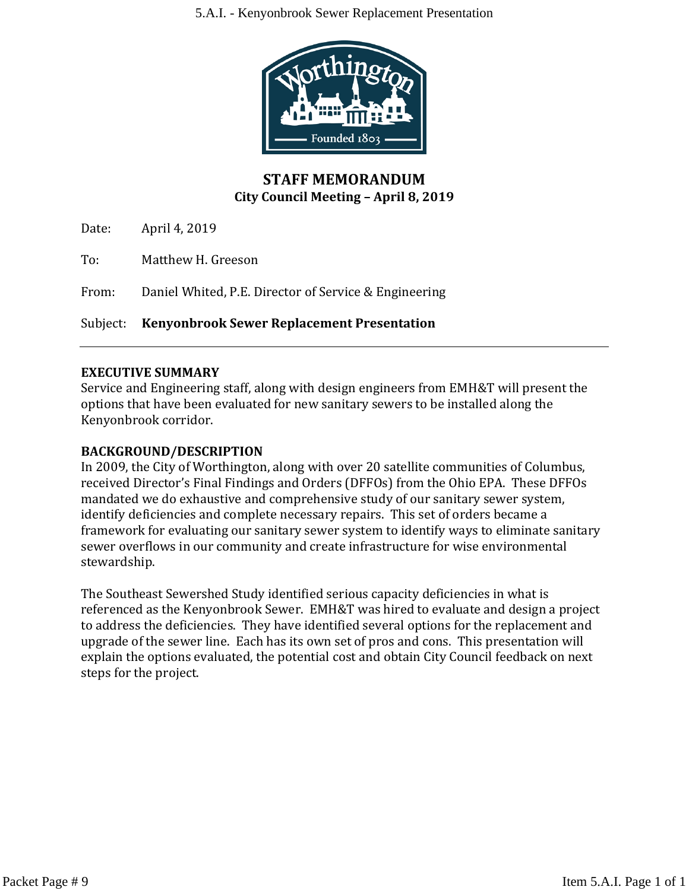#### 5.A.I. - Kenyonbrook Sewer Replacement Presentation



# **STAFF MEMORANDUM City Council Meeting – April 8, 2019**

Date: April 4, 2019

To: Matthew H. Greeson

From: Daniel Whited, P.E. Director of Service & Engineering

Subject: **Kenyonbrook Sewer Replacement Presentation**

#### **EXECUTIVE SUMMARY**

Service and Engineering staff, along with design engineers from EMH&T will present the options that have been evaluated for new sanitary sewers to be installed along the Kenyonbrook corridor.

#### **BACKGROUND/DESCRIPTION**

In 2009, the City of Worthington, along with over 20 satellite communities of Columbus, received Director's Final Findings and Orders (DFFOs) from the Ohio EPA. These DFFOs mandated we do exhaustive and comprehensive study of our sanitary sewer system, identify deficiencies and complete necessary repairs. This set of orders became a framework for evaluating our sanitary sewer system to identify ways to eliminate sanitary sewer overflows in our community and create infrastructure for wise environmental stewardship.

The Southeast Sewershed Study identified serious capacity deficiencies in what is referenced as the Kenyonbrook Sewer. EMH&T was hired to evaluate and design a project to address the deficiencies. They have identified several options for the replacement and upgrade of the sewer line. Each has its own set of pros and cons. This presentation will explain the options evaluated, the potential cost and obtain City Council feedback on next steps for the project.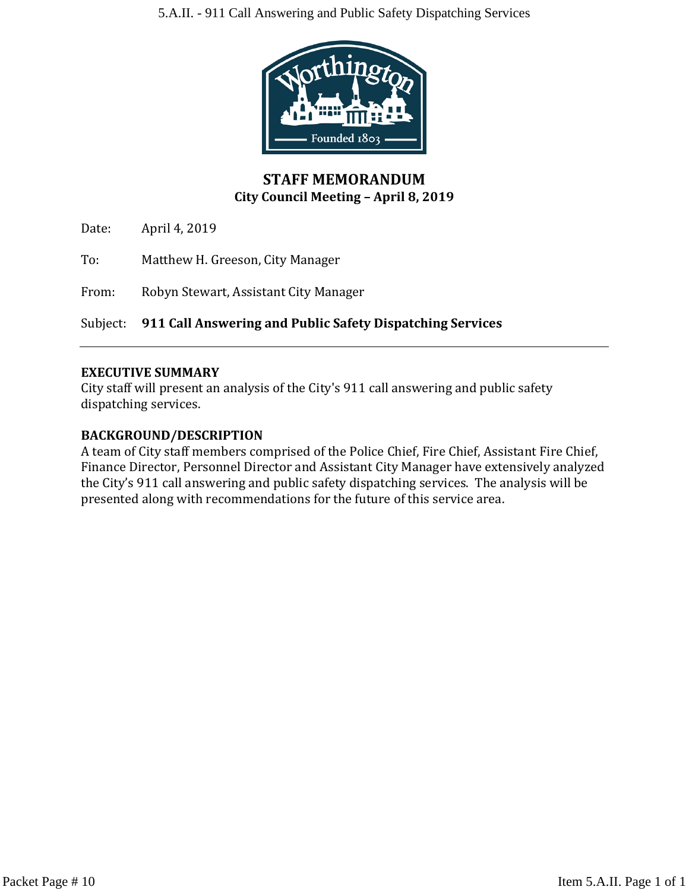

# **STAFF MEMORANDUM City Council Meeting – April 8, 2019**

Date: April 4, 2019

To: Matthew H. Greeson, City Manager

From: Robyn Stewart, Assistant City Manager

Subject: **911 Call Answering and Public Safety Dispatching Services**

# **EXECUTIVE SUMMARY**

City staff will present an analysis of the City's 911 call answering and public safety dispatching services.

# **BACKGROUND/DESCRIPTION**

A team of City staff members comprised of the Police Chief, Fire Chief, Assistant Fire Chief, Finance Director, Personnel Director and Assistant City Manager have extensively analyzed the City's 911 call answering and public safety dispatching services. The analysis will be presented along with recommendations for the future of this service area.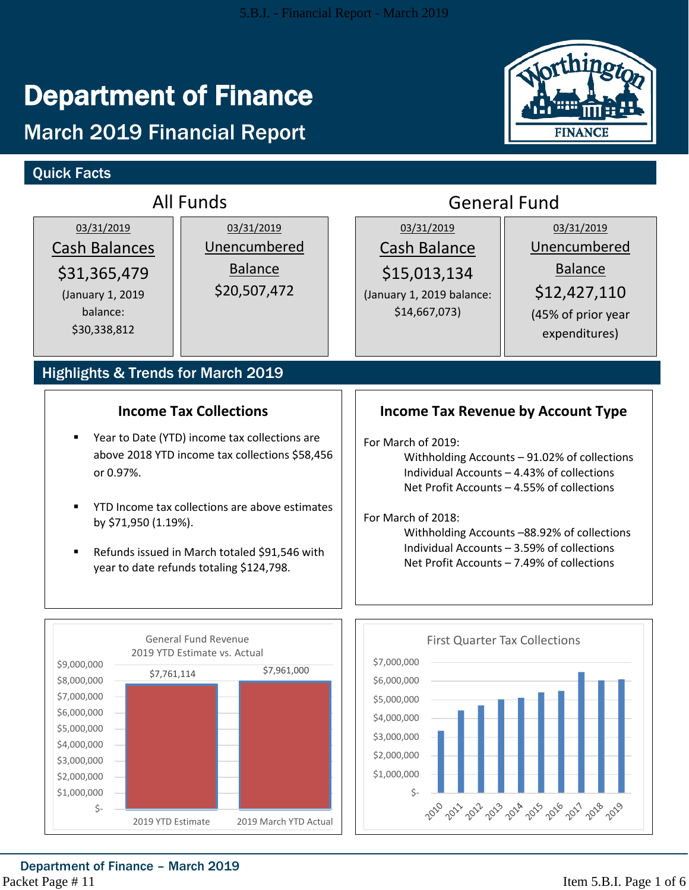# Department of Finance

# March 2019 Financial Report

# Quick Facts



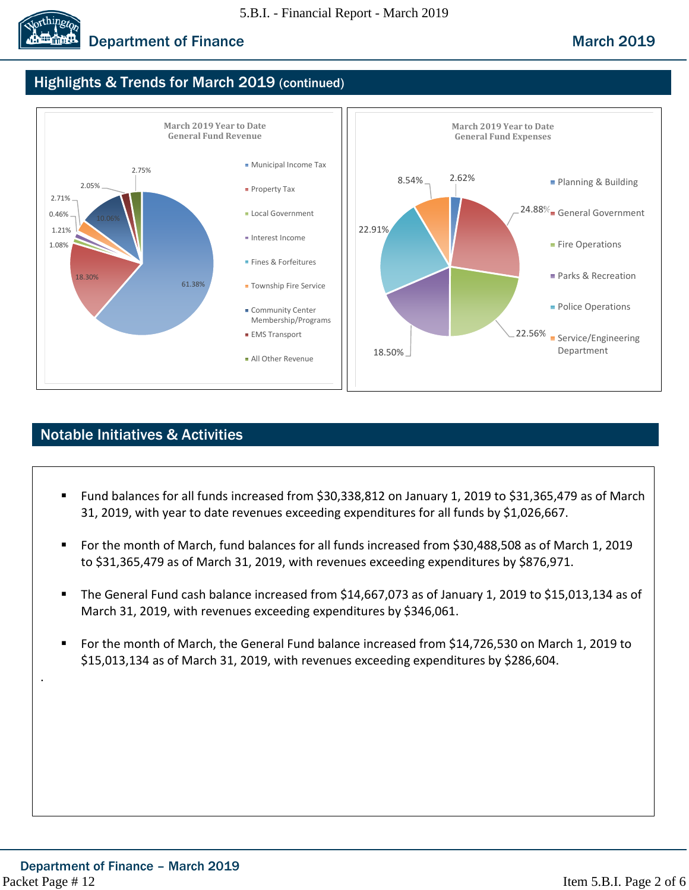

# **Department of Finance March 2019** March 2019

# Highlights & Trends for March 2019 (continued)



# Notable Initiatives & Activities

- Fund balances for all funds increased from \$30,338,812 on January 1, 2019 to \$31,365,479 as of March 31, 2019, with year to date revenues exceeding expenditures for all funds by \$1,026,667.
- For the month of March, fund balances for all funds increased from \$30,488,508 as of March 1, 2019 to \$31,365,479 as of March 31, 2019, with revenues exceeding expenditures by \$876,971.
- The General Fund cash balance increased from \$14,667,073 as of January 1, 2019 to \$15,013,134 as of March 31, 2019, with revenues exceeding expenditures by \$346,061.
- For the month of March, the General Fund balance increased from \$14,726,530 on March 1, 2019 to \$15,013,134 as of March 31, 2019, with revenues exceeding expenditures by \$286,604.

.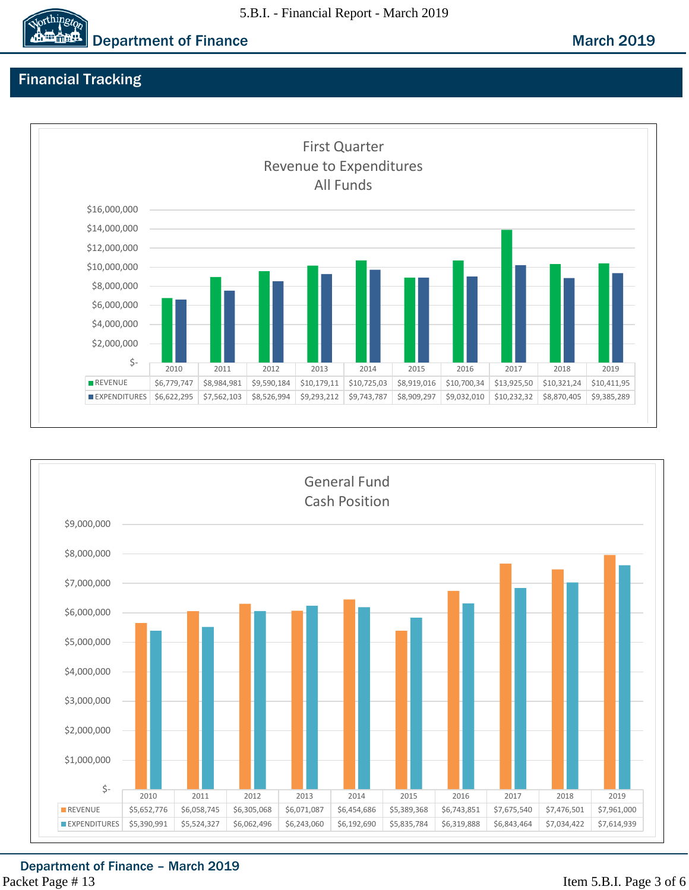



**Department of Finance March 2019** 

# Financial Tracking

orthingto



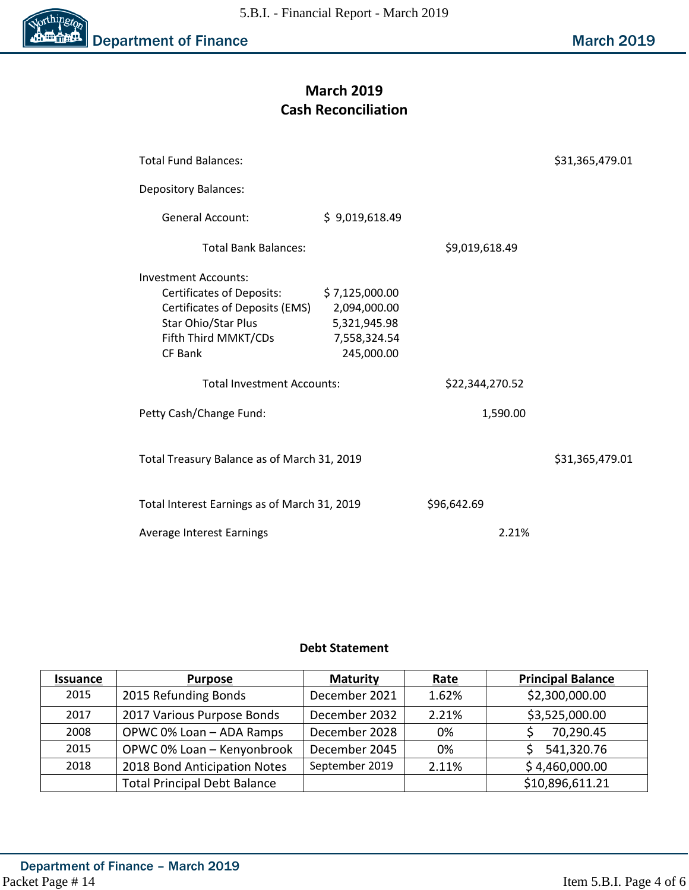

# **March 2019 Cash Reconciliation**

| <b>Total Fund Balances:</b>                  |                 |                | \$31,365,479.01 |  |  |  |
|----------------------------------------------|-----------------|----------------|-----------------|--|--|--|
| <b>Depository Balances:</b>                  |                 |                |                 |  |  |  |
| General Account:                             | \$9,019,618.49  |                |                 |  |  |  |
| <b>Total Bank Balances:</b>                  |                 | \$9,019,618.49 |                 |  |  |  |
| Investment Accounts:                         |                 |                |                 |  |  |  |
| <b>Certificates of Deposits:</b>             | \$7,125,000.00  |                |                 |  |  |  |
| Certificates of Deposits (EMS)               | 2,094,000.00    |                |                 |  |  |  |
| Star Ohio/Star Plus                          | 5,321,945.98    |                |                 |  |  |  |
| Fifth Third MMKT/CDs                         | 7,558,324.54    |                |                 |  |  |  |
| CF Bank                                      | 245,000.00      |                |                 |  |  |  |
|                                              |                 |                |                 |  |  |  |
| <b>Total Investment Accounts:</b>            | \$22,344,270.52 |                |                 |  |  |  |
| Petty Cash/Change Fund:                      |                 | 1,590.00       |                 |  |  |  |
| Total Treasury Balance as of March 31, 2019  |                 |                | \$31,365,479.01 |  |  |  |
| Total Interest Earnings as of March 31, 2019 | \$96,642.69     |                |                 |  |  |  |
| Average Interest Earnings                    | 2.21%           |                |                 |  |  |  |

#### **Debt Statement**

| <b>Issuance</b> | <b>Purpose</b>                      | <b>Maturity</b> | Rate  | <b>Principal Balance</b> |
|-----------------|-------------------------------------|-----------------|-------|--------------------------|
| 2015            | 2015 Refunding Bonds                | December 2021   | 1.62% | \$2,300,000.00           |
| 2017            | 2017 Various Purpose Bonds          | December 2032   | 2.21% | \$3,525,000.00           |
| 2008            | OPWC 0% Loan - ADA Ramps            | December 2028   | 0%    | 70,290.45                |
| 2015            | OPWC 0% Loan - Kenyonbrook          | December 2045   | 0%    | 541,320.76               |
| 2018            | 2018 Bond Anticipation Notes        | September 2019  | 2.11% | \$4,460,000.00           |
|                 | <b>Total Principal Debt Balance</b> |                 |       | \$10,896,611.21          |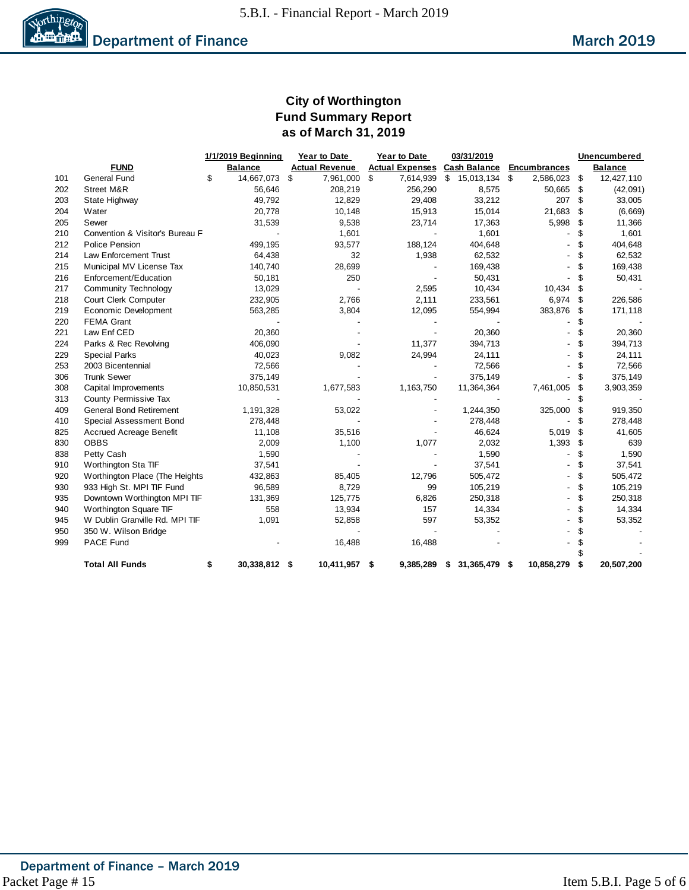

# **City of Worthington Fund Summary Report as of March 31, 2019**

|     |                                 |    | 1/1/2019 Beginning<br>Year to Date<br>03/31/2019<br>Year to Date |    |                       |    |           |                                     |      | Unencumbered        |     |                |
|-----|---------------------------------|----|------------------------------------------------------------------|----|-----------------------|----|-----------|-------------------------------------|------|---------------------|-----|----------------|
|     | <b>FUND</b>                     |    | <b>Balance</b>                                                   |    | <b>Actual Revenue</b> |    |           | <b>Actual Expenses Cash Balance</b> |      | <b>Encumbrances</b> |     | <b>Balance</b> |
| 101 | <b>General Fund</b>             | \$ | 14,667,073                                                       | \$ | 7,961,000             | \$ | 7,614,939 | $$15,013,134$ \$                    |      | 2,586,023           | \$  | 12,427,110     |
| 202 | Street M&R                      |    | 56,646                                                           |    | 208,219               |    | 256,290   | 8,575                               |      | 50,665 \$           |     | (42,091)       |
| 203 | State Highway                   |    | 49,792                                                           |    | 12,829                |    | 29,408    | 33,212                              |      | 207                 | \$  | 33,005         |
| 204 | Water                           |    | 20,778                                                           |    | 10,148                |    | 15,913    | 15,014                              |      | 21,683              | \$  | (6,669)        |
| 205 | Sewer                           |    | 31,539                                                           |    | 9,538                 |    | 23,714    | 17,363                              |      | 5,998               | -\$ | 11,366         |
| 210 | Convention & Visitor's Bureau F |    |                                                                  |    | 1,601                 |    |           | 1,601                               |      |                     | \$  | 1,601          |
| 212 | <b>Police Pension</b>           |    | 499,195                                                          |    | 93,577                |    | 188,124   | 404,648                             |      |                     | \$  | 404,648        |
| 214 | Law Enforcement Trust           |    | 64,438                                                           |    | 32                    |    | 1,938     | 62,532                              |      |                     | \$  | 62,532         |
| 215 | Municipal MV License Tax        |    | 140,740                                                          |    | 28,699                |    |           | 169,438                             |      |                     | \$  | 169,438        |
| 216 | Enforcement/Education           |    | 50,181                                                           |    | 250                   |    |           | 50,431                              |      |                     | \$  | 50,431         |
| 217 | <b>Community Technology</b>     |    | 13,029                                                           |    |                       |    | 2,595     | 10,434                              |      | 10,434              | \$  |                |
| 218 | Court Clerk Computer            |    | 232,905                                                          |    | 2,766                 |    | 2,111     | 233,561                             |      | $6,974$ \$          |     | 226,586        |
| 219 | Economic Development            |    | 563,285                                                          |    | 3,804                 |    | 12,095    | 554,994                             |      | 383,876             | -\$ | 171,118        |
| 220 | <b>FEMA Grant</b>               |    |                                                                  |    |                       |    |           |                                     |      |                     | \$  |                |
| 221 | Law Enf CED                     |    | 20,360                                                           |    |                       |    |           | 20,360                              |      |                     | \$  | 20,360         |
| 224 | Parks & Rec Revolving           |    | 406,090                                                          |    |                       |    | 11,377    | 394,713                             |      |                     | \$  | 394,713        |
| 229 | <b>Special Parks</b>            |    | 40,023                                                           |    | 9,082                 |    | 24,994    | 24,111                              |      |                     | \$  | 24,111         |
| 253 | 2003 Bicentennial               |    | 72,566                                                           |    |                       |    |           | 72,566                              |      |                     | \$  | 72,566         |
| 306 | <b>Trunk Sewer</b>              |    | 375,149                                                          |    |                       |    |           | 375,149                             |      |                     | \$  | 375,149        |
| 308 | Capital Improvements            |    | 10,850,531                                                       |    | 1,677,583             |    | 1,163,750 | 11,364,364                          |      | 7,461,005           | \$  | 3,903,359      |
| 313 | County Permissive Tax           |    |                                                                  |    |                       |    |           |                                     |      |                     | \$  |                |
| 409 | <b>General Bond Retirement</b>  |    | 1,191,328                                                        |    | 53,022                |    |           | 1,244,350                           |      | 325,000             | \$  | 919,350        |
| 410 | Special Assessment Bond         |    | 278,448                                                          |    |                       |    |           | 278,448                             |      |                     | \$  | 278,448        |
| 825 | <b>Accrued Acreage Benefit</b>  |    | 11,108                                                           |    | 35,516                |    |           | 46,624                              |      | 5,019               | \$  | 41,605         |
| 830 | <b>OBBS</b>                     |    | 2,009                                                            |    | 1,100                 |    | 1,077     | 2,032                               |      | 1,393               | \$  | 639            |
| 838 | Petty Cash                      |    | 1,590                                                            |    |                       |    |           | 1,590                               |      |                     | \$  | 1,590          |
| 910 | Worthington Sta TIF             |    | 37,541                                                           |    |                       |    |           | 37,541                              |      |                     | \$  | 37,541         |
| 920 | Worthington Place (The Heights  |    | 432,863                                                          |    | 85,405                |    | 12,796    | 505,472                             |      |                     | \$  | 505,472        |
| 930 | 933 High St. MPI TIF Fund       |    | 96,589                                                           |    | 8,729                 |    | 99        | 105,219                             |      |                     | \$  | 105,219        |
| 935 | Downtown Worthington MPI TIF    |    | 131,369                                                          |    | 125,775               |    | 6,826     | 250,318                             |      |                     | \$  | 250,318        |
| 940 | Worthington Square TIF          |    | 558                                                              |    | 13,934                |    | 157       | 14,334                              |      |                     | \$  | 14,334         |
| 945 | W Dublin Granville Rd. MPI TIF  |    | 1,091                                                            |    | 52,858                |    | 597       | 53,352                              |      |                     | \$  | 53,352         |
| 950 | 350 W. Wilson Bridge            |    |                                                                  |    |                       |    |           |                                     |      |                     | \$  |                |
| 999 | PACE Fund                       |    |                                                                  |    | 16,488                |    | 16,488    |                                     |      |                     |     |                |
|     | <b>Total All Funds</b>          | \$ | 30,338,812 \$                                                    |    | 10,411,957            | \$ | 9,385,289 | \$<br>31,365,479                    | - \$ | 10,858,279          | \$  | 20,507,200     |